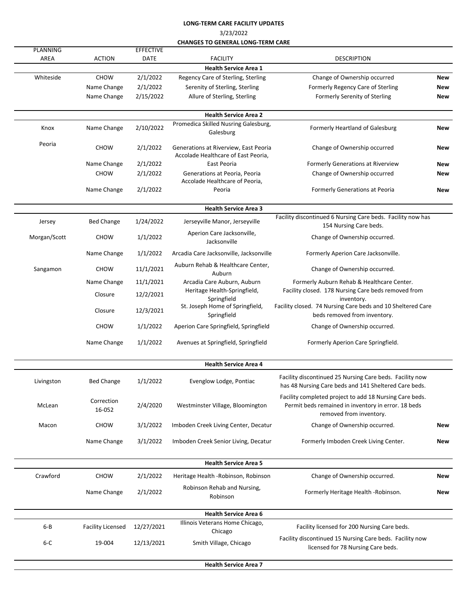## **LONG-TERM CARE FACILITY UPDATES**

3/23/2022

| <b>CHANGES TO GENERAL LONG-TERM CARE</b> |
|------------------------------------------|
|------------------------------------------|

| <b>PLANNING</b> |                          | <b>EFFECTIVE</b> |                                                                              |                                                                                                                                           |     |
|-----------------|--------------------------|------------------|------------------------------------------------------------------------------|-------------------------------------------------------------------------------------------------------------------------------------------|-----|
| AREA            | <b>ACTION</b>            | <b>DATE</b>      | <b>FACILITY</b>                                                              | <b>DESCRIPTION</b>                                                                                                                        |     |
|                 |                          |                  | <b>Health Service Area 1</b>                                                 |                                                                                                                                           |     |
| Whiteside       | <b>CHOW</b>              | 2/1/2022         | Regency Care of Sterling, Sterling                                           | Change of Ownership occurred                                                                                                              | New |
|                 | Name Change              | 2/1/2022         | Serenity of Sterling, Sterling                                               | Formerly Regency Care of Sterling                                                                                                         | New |
|                 | Name Change              | 2/15/2022        | Allure of Sterling, Sterling                                                 | Formerly Serenity of Sterling                                                                                                             | New |
|                 |                          |                  | <b>Health Service Area 2</b>                                                 |                                                                                                                                           |     |
| Knox            | Name Change              | 2/10/2022        | Promedica Skilled Nusring Galesburg,<br>Galesburg                            | Formerly Heartland of Galesburg                                                                                                           | New |
| Peoria          | <b>CHOW</b>              | 2/1/2022         | Generations at Riverview, East Peoria<br>Accolade Healthcare of East Peoria, | Change of Ownership occurred                                                                                                              | New |
|                 | Name Change              | 2/1/2022         | East Peoria                                                                  | Formerly Generations at Riverview                                                                                                         | New |
|                 | <b>CHOW</b>              | 2/1/2022         | Generations at Peoria, Peoria                                                | Change of Ownership occurred                                                                                                              | New |
|                 | Name Change              | 2/1/2022         | Accolade Healthcare of Peoria,<br>Peoria                                     | Formerly Generations at Peoria                                                                                                            | New |
|                 |                          |                  | <b>Health Service Area 3</b>                                                 |                                                                                                                                           |     |
|                 |                          |                  |                                                                              | Facility discontinued 6 Nursing Care beds. Facility now has                                                                               |     |
| Jersey          | <b>Bed Change</b>        | 1/24/2022        | Jerseyville Manor, Jerseyville<br>Aperion Care Jacksonville,                 | 154 Nursing Care beds.                                                                                                                    |     |
| Morgan/Scott    | <b>CHOW</b>              | 1/1/2022         | Jacksonville                                                                 | Change of Ownership occurred.                                                                                                             |     |
|                 | Name Change              | 1/1/2022         | Arcadia Care Jacksonville, Jacksonville                                      | Formerly Aperion Care Jacksonville.                                                                                                       |     |
| Sangamon        | <b>CHOW</b>              | 11/1/2021        | Auburn Rehab & Healthcare Center,<br>Auburn                                  | Change of Ownership occurred.                                                                                                             |     |
|                 | Name Change              | 11/1/2021        | Arcadia Care Auburn, Auburn                                                  | Formerly Auburn Rehab & Healthcare Center.                                                                                                |     |
|                 | Closure                  | 12/2/2021        | Heritage Health-Springfield,<br>Springfield                                  | Facility closed. 178 Nursing Care beds removed from<br>inventory.                                                                         |     |
|                 | Closure                  | 12/3/2021        | St. Joseph Home of Springfield,<br>Springfield                               | Facility closed. 74 Nursing Care beds and 10 Sheltered Care<br>beds removed from inventory.                                               |     |
|                 | <b>CHOW</b>              | 1/1/2022         | Aperion Care Springfield, Springfield                                        | Change of Ownership occurred.                                                                                                             |     |
|                 | Name Change              | 1/1/2022         | Avenues at Springfield, Springfield                                          | Formerly Aperion Care Springfield.                                                                                                        |     |
|                 |                          |                  | <b>Health Service Area 4</b>                                                 |                                                                                                                                           |     |
| Livingston      | <b>Bed Change</b>        | 1/1/2022         | Evenglow Lodge, Pontiac                                                      | Facility discontinued 25 Nursing Care beds. Facility now<br>has 48 Nursing Care beds and 141 Sheltered Care beds.                         |     |
| McLean          | Correction<br>16-052     | 2/4/2020         | Westminster Village, Bloomington                                             | Facility completed project to add 18 Nursing Care beds.<br>Permit beds remained in inventory in error. 18 beds<br>removed from inventory. |     |
| Macon           | <b>CHOW</b>              | 3/1/2022         | Imboden Creek Living Center, Decatur                                         | Change of Ownership occurred.                                                                                                             | New |
|                 | Name Change              | 3/1/2022         | Imboden Creek Senior Living, Decatur                                         | Formerly Imboden Creek Living Center.                                                                                                     | New |
|                 |                          |                  | <b>Health Service Area 5</b>                                                 |                                                                                                                                           |     |
| Crawford        | <b>CHOW</b>              | 2/1/2022         | Heritage Health - Robinson, Robinson                                         | Change of Ownership occurred.                                                                                                             | New |
|                 | Name Change              | 2/1/2022         | Robinson Rehab and Nursing,<br>Robinson                                      | Formerly Heritage Health -Robinson.                                                                                                       | New |
|                 |                          |                  | <b>Health Service Area 6</b>                                                 |                                                                                                                                           |     |
| $6 - B$         | <b>Facility Licensed</b> | 12/27/2021       | Illinois Veterans Home Chicago,                                              | Facility licensed for 200 Nursing Care beds.                                                                                              |     |
| $6 - C$         | 19-004                   | 12/13/2021       | Chicago<br>Smith Village, Chicago                                            | Facility discontinued 15 Nursing Care beds. Facility now<br>licensed for 78 Nursing Care beds.                                            |     |
|                 |                          |                  | <b>Health Service Area 7</b>                                                 |                                                                                                                                           |     |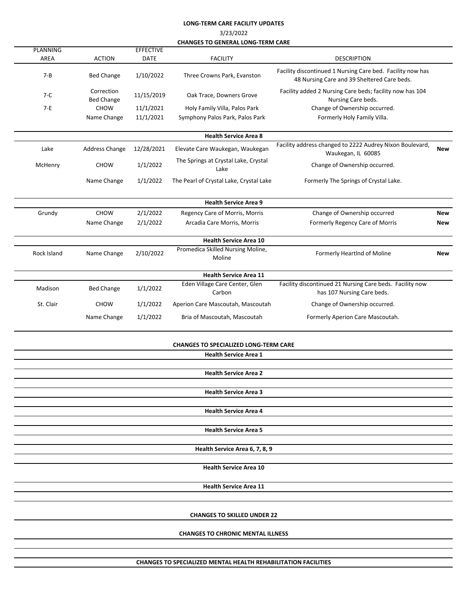## **LONG-TERM CARE FACILITY UPDATES**

3/23/2022

**CHANGES TO GENERAL LONG-TERM CARE**

|                         |                                 |                                 | CHANGES TO GENEKAL LONG-TEKIVI CAKE          |                                                                                                           |            |
|-------------------------|---------------------------------|---------------------------------|----------------------------------------------|-----------------------------------------------------------------------------------------------------------|------------|
| <b>PLANNING</b><br>AREA | <b>ACTION</b>                   | <b>EFFECTIVE</b><br><b>DATE</b> | <b>FACILITY</b>                              | <b>DESCRIPTION</b>                                                                                        |            |
| $7 - B$                 | <b>Bed Change</b>               | 1/10/2022                       | Three Crowns Park, Evanston                  | Facility discontinued 1 Nursing Care bed. Facility now has<br>48 Nursing Care and 39 Sheltered Care beds. |            |
| $7-C$                   | Correction<br><b>Bed Change</b> | 11/15/2019                      | Oak Trace, Downers Grove                     | Facility added 2 Nursing Care beds; facility now has 104<br>Nursing Care beds.                            |            |
| $7-E$                   | <b>CHOW</b>                     | 11/1/2021                       | Holy Family Villa, Palos Park                | Change of Ownership occurred.                                                                             |            |
|                         | Name Change                     | 11/1/2021                       | Symphony Palos Park, Palos Park              | Formerly Holy Family Villa.                                                                               |            |
|                         |                                 |                                 |                                              |                                                                                                           |            |
|                         |                                 |                                 | <b>Health Service Area 8</b>                 |                                                                                                           |            |
| Lake                    | Address Change                  | 12/28/2021                      | Elevate Care Waukegan, Waukegan              | Facility address changed to 2222 Audrey Nixon Boulevard,<br>Waukegan, IL 60085                            | <b>New</b> |
| McHenry                 | <b>CHOW</b>                     | 1/1/2022                        | The Springs at Crystal Lake, Crystal<br>Lake | Change of Ownership occurred.                                                                             |            |
|                         | Name Change                     | 1/1/2022                        | The Pearl of Crystal Lake, Crystal Lake      | Formerly The Springs of Crystal Lake.                                                                     |            |
|                         |                                 |                                 | <b>Health Service Area 9</b>                 |                                                                                                           |            |
| Grundy                  | <b>CHOW</b>                     | 2/1/2022                        | Regency Care of Morris, Morris               | Change of Ownership occurred                                                                              | <b>New</b> |
|                         | Name Change                     | 2/1/2022                        | Arcadia Care Morris, Morris                  | Formerly Regency Care of Morris                                                                           | New        |
|                         |                                 |                                 | <b>Health Service Area 10</b>                |                                                                                                           |            |
| Rock Island             | Name Change                     | 2/10/2022                       | Promedica Skilled Nursing Moline,<br>Moline  | Formerly HeartInd of Moline                                                                               | New        |
|                         |                                 |                                 | <b>Health Service Area 11</b>                |                                                                                                           |            |
| Madison                 | <b>Bed Change</b>               | 1/1/2022                        | Eden Village Care Center, Glen<br>Carbon     | Facility discontinued 21 Nursing Care beds. Facility now<br>has 107 Nursing Care beds.                    |            |
| St. Clair               | <b>CHOW</b>                     | 1/1/2022                        | Aperion Care Mascoutah, Mascoutah            | Change of Ownership occurred.                                                                             |            |
|                         | Name Change                     | 1/1/2022                        | Bria of Mascoutah, Mascoutah                 | Formerly Aperion Care Mascoutah.                                                                          |            |
|                         |                                 |                                 | <b>CHANGES TO SPECIALIZED LONG-TERM CARE</b> |                                                                                                           |            |
|                         |                                 |                                 | <b>Health Service Area 1</b>                 |                                                                                                           |            |
|                         |                                 |                                 | <b>Health Service Area 2</b>                 |                                                                                                           |            |
|                         |                                 |                                 | <b>Health Service Area 3</b>                 |                                                                                                           |            |
|                         |                                 |                                 | <b>Health Service Area 4</b>                 |                                                                                                           |            |
|                         |                                 |                                 | <b>Health Service Area 5</b>                 |                                                                                                           |            |
|                         |                                 |                                 | Health Service Area 6, 7, 8, 9               |                                                                                                           |            |
|                         |                                 |                                 | <b>Health Service Area 10</b>                |                                                                                                           |            |
|                         |                                 |                                 | <b>Health Service Area 11</b>                |                                                                                                           |            |
|                         |                                 |                                 |                                              |                                                                                                           |            |
|                         |                                 |                                 | <b>CHANGES TO SKILLED UNDER 22</b>           |                                                                                                           |            |
|                         |                                 |                                 | <b>CHANGES TO CHRONIC MENTAL ILLNESS</b>     |                                                                                                           |            |
|                         |                                 |                                 |                                              |                                                                                                           |            |

**CHANGES TO SPECIALIZED MENTAL HEALTH REHABILITATION FACILITIES**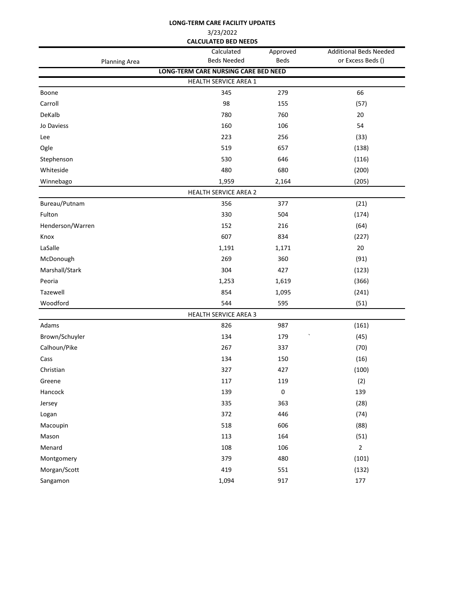|                             |                      | LONG-TERM CARE FACILITY UPDATES      |                         |                                                    |  |  |
|-----------------------------|----------------------|--------------------------------------|-------------------------|----------------------------------------------------|--|--|
| 3/23/2022                   |                      |                                      |                         |                                                    |  |  |
| <b>CALCULATED BED NEEDS</b> |                      |                                      |                         |                                                    |  |  |
|                             |                      | Calculated<br><b>Beds Needed</b>     | Approved<br><b>Beds</b> | <b>Additional Beds Needed</b><br>or Excess Beds () |  |  |
|                             | <b>Planning Area</b> | LONG-TERM CARE NURSING CARE BED NEED |                         |                                                    |  |  |
|                             |                      | <b>HEALTH SERVICE AREA 1</b>         |                         |                                                    |  |  |
| Boone                       |                      | 345                                  | 279                     | 66                                                 |  |  |
| Carroll                     |                      | 98                                   | 155                     | (57)                                               |  |  |
| DeKalb                      |                      | 780                                  | 760                     | 20                                                 |  |  |
| Jo Daviess                  |                      | 160                                  | 106                     | 54                                                 |  |  |
| Lee                         |                      | 223                                  | 256                     | (33)                                               |  |  |
| Ogle                        |                      | 519                                  | 657                     | (138)                                              |  |  |
| Stephenson                  |                      | 530                                  | 646                     | (116)                                              |  |  |
| Whiteside                   |                      | 480                                  | 680                     | (200)                                              |  |  |
| Winnebago                   |                      | 1,959                                | 2,164                   | (205)                                              |  |  |
|                             |                      | HEALTH SERVICE AREA 2                |                         |                                                    |  |  |
| Bureau/Putnam               |                      | 356                                  | 377                     | (21)                                               |  |  |
| Fulton                      |                      | 330                                  | 504                     | (174)                                              |  |  |
| Henderson/Warren            |                      | 152                                  | 216                     | (64)                                               |  |  |
| Knox                        |                      | 607                                  | 834                     | (227)                                              |  |  |
| LaSalle                     |                      | 1,191                                | 1,171                   | 20                                                 |  |  |
| McDonough                   |                      | 269                                  | 360                     | (91)                                               |  |  |
| Marshall/Stark              |                      | 304                                  | 427                     | (123)                                              |  |  |
| Peoria                      |                      | 1,253                                | 1,619                   | (366)                                              |  |  |
| Tazewell                    |                      | 854                                  | 1,095                   | (241)                                              |  |  |
| Woodford                    |                      | 544                                  | 595                     | (51)                                               |  |  |
|                             |                      | <b>HEALTH SERVICE AREA 3</b>         |                         |                                                    |  |  |
| Adams                       |                      | 826                                  | 987                     | (161)                                              |  |  |
| Brown/Schuyler              |                      | 134                                  | 179                     | (45)                                               |  |  |
| Calhoun/Pike                |                      | 267                                  | 337                     | (70)                                               |  |  |
| Cass                        |                      | 134                                  | 150                     | (16)                                               |  |  |
| Christian                   |                      | 327                                  | 427                     | (100)                                              |  |  |
| Greene                      |                      | 117                                  | 119                     | (2)                                                |  |  |
| Hancock                     |                      | 139                                  | $\pmb{0}$               | 139                                                |  |  |
| Jersey                      |                      | 335                                  | 363                     | (28)                                               |  |  |
| Logan                       |                      | 372                                  | 446                     | (74)                                               |  |  |
| Macoupin                    |                      | 518                                  | 606                     | (88)                                               |  |  |
| Mason                       |                      | 113                                  | 164                     | (51)                                               |  |  |
| Menard                      |                      | 108                                  | 106                     | $\mathbf 2$                                        |  |  |
| Montgomery                  |                      | 379                                  | 480                     | (101)                                              |  |  |
| Morgan/Scott                |                      | 419                                  | 551                     | (132)                                              |  |  |

Sangamon 1,094 917 177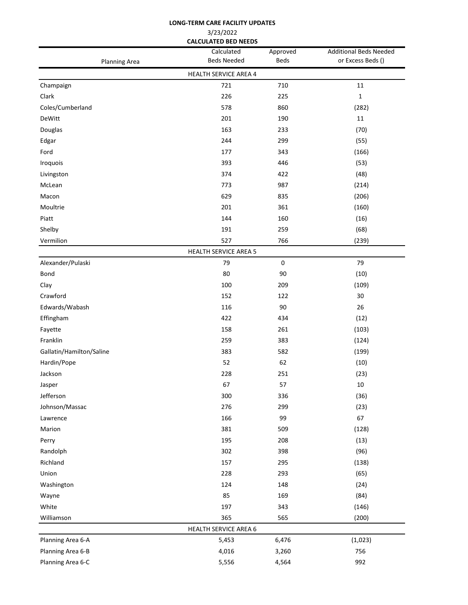| 3/23/2022<br><b>CALCULATED BED NEEDS</b> |                                  |                         |                                                    |  |
|------------------------------------------|----------------------------------|-------------------------|----------------------------------------------------|--|
| <b>Planning Area</b>                     | Calculated<br><b>Beds Needed</b> | Approved<br><b>Beds</b> | <b>Additional Beds Needed</b><br>or Excess Beds () |  |
|                                          | HEALTH SERVICE AREA 4            |                         |                                                    |  |
| Champaign                                | 721                              | 710                     | 11                                                 |  |
| Clark                                    | 226                              | 225                     | 1                                                  |  |
| Coles/Cumberland                         | 578                              | 860                     | (282)                                              |  |
| DeWitt                                   | 201                              | 190                     | 11                                                 |  |
| Douglas                                  | 163                              | 233                     | (70)                                               |  |
| Edgar                                    | 244                              | 299                     | (55)                                               |  |
| Ford                                     | 177                              | 343                     | (166)                                              |  |
| Iroquois                                 | 393                              | 446                     | (53)                                               |  |
| Livingston                               | 374                              | 422                     | (48)                                               |  |
| McLean                                   | 773                              | 987                     | (214)                                              |  |
| Macon                                    | 629                              | 835                     | (206)                                              |  |
| Moultrie                                 | 201                              | 361                     | (160)                                              |  |
| Piatt                                    | 144                              | 160                     | (16)                                               |  |
| Shelby                                   | 191                              | 259                     | (68)                                               |  |
| Vermilion                                | 527                              | 766                     | (239)                                              |  |
|                                          | <b>HEALTH SERVICE AREA 5</b>     |                         |                                                    |  |
| Alexander/Pulaski                        | 79                               | 0                       | 79                                                 |  |
| Bond                                     | 80                               | 90                      | (10)                                               |  |
| Clay                                     | 100                              | 209                     | (109)                                              |  |
| Crawford                                 | 152                              | 122                     | 30                                                 |  |
| Edwards/Wabash                           | 116                              | 90                      | 26                                                 |  |
| Effingham                                | 422                              | 434                     | (12)                                               |  |
| Fayette                                  | 158                              | 261                     | (103)                                              |  |
| Franklin                                 | 259                              | 383                     | (124)                                              |  |
| Gallatin/Hamilton/Saline                 | 383                              | 582                     | (199)                                              |  |
| Hardin/Pope                              | 52                               | 62                      | (10)                                               |  |
| Jackson                                  | 228                              | 251                     | (23)                                               |  |
| Jasper                                   | 67                               | 57                      | $10\,$                                             |  |
| Jefferson                                | 300                              | 336                     | (36)                                               |  |
| Johnson/Massac                           | 276                              | 299                     | (23)                                               |  |
| Lawrence                                 | 166                              | 99                      | 67                                                 |  |
| Marion                                   | 381                              | 509                     | (128)                                              |  |
| Perry                                    | 195                              | 208                     | (13)                                               |  |
| Randolph                                 | 302                              | 398                     | (96)                                               |  |
| Richland                                 | 157                              | 295                     | (138)                                              |  |
| Union                                    | 228                              | 293                     | (65)                                               |  |
| Washington                               | 124                              | 148                     | (24)                                               |  |
| Wayne                                    | 85                               | 169                     | (84)                                               |  |
| White                                    | 197                              | 343                     | (146)                                              |  |
| Williamson                               | 365                              | 565                     | (200)                                              |  |
|                                          | <b>HEALTH SERVICE AREA 6</b>     |                         |                                                    |  |
| Planning Area 6-A                        | 5,453                            | 6,476                   | (1,023)                                            |  |
| Planning Area 6-B                        | 4,016                            | 3,260                   | 756                                                |  |
| Planning Area 6-C                        | 5,556                            | 4,564                   | 992                                                |  |

**LONG-TERM CARE FACILITY UPDATES**